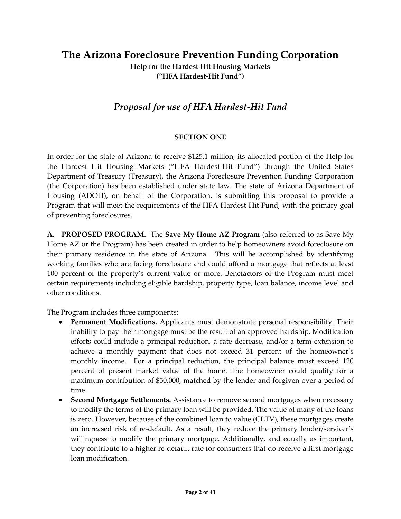# **The Arizona Foreclosure Prevention Funding Corporation Help for the Hardest Hit Housing Markets ("HFA Hardest‐Hit Fund")**

# *Proposal for use of HFA Hardest‐Hit Fund*

#### **SECTION ONE**

In order for the state of Arizona to receive \$125.1 million, its allocated portion of the Help for the Hardest Hit Housing Markets ("HFA Hardest‐Hit Fund") through the United States Department of Treasury (Treasury), the Arizona Foreclosure Prevention Funding Corporation (the Corporation) has been established under state law. The state of Arizona Department of Housing (ADOH), on behalf of the Corporation, is submitting this proposal to provide a Program that will meet the requirements of the HFA Hardest-Hit Fund, with the primary goal of preventing foreclosures.

**A. PROPOSED PROGRAM.** The **Save My Home AZ Program** (also referred to as Save My Home AZ or the Program) has been created in order to help homeowners avoid foreclosure on their primary residence in the state of Arizona. This will be accomplished by identifying working families who are facing foreclosure and could afford a mortgage that reflects at least 100 percent of the property's current value or more. Benefactors of the Program must meet certain requirements including eligible hardship, property type, loan balance, income level and other conditions.

The Program includes three components:

- **Permanent Modifications.** Applicants must demonstrate personal responsibility. Their inability to pay their mortgage must be the result of an approved hardship. Modification efforts could include a principal reduction, a rate decrease, and/or a term extension to achieve a monthly payment that does not exceed 31 percent of the homeowner's monthly income. For a principal reduction, the principal balance must exceed 120 percent of present market value of the home. The homeowner could qualify for a maximum contribution of \$50,000, matched by the lender and forgiven over a period of time.
- **Second Mortgage Settlements.** Assistance to remove second mortgages when necessary to modify the terms of the primary loan will be provided. The value of many of the loans is zero. However, because of the combined loan to value (CLTV), these mortgages create an increased risk of re-default. As a result, they reduce the primary lender/servicer's willingness to modify the primary mortgage. Additionally, and equally as important, they contribute to a higher re‐default rate for consumers that do receive a first mortgage loan modification.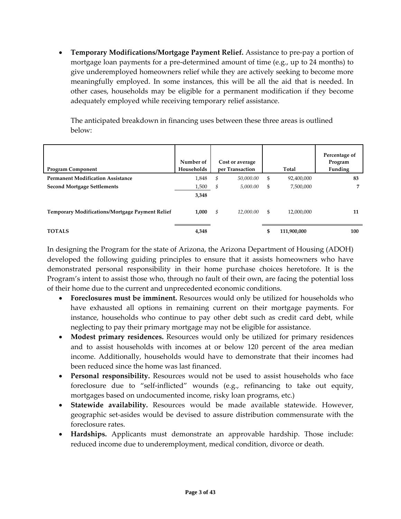• **Temporary Modifications/Mortgage Payment Relief.** Assistance to pre‐pay a portion of mortgage loan payments for a pre‐determined amount of time (e.g., up to 24 months) to give underemployed homeowners relief while they are actively seeking to become more meaningfully employed. In some instances, this will be all the aid that is needed. In other cases, households may be eligible for a permanent modification if they become adequately employed while receiving temporary relief assistance.

The anticipated breakdown in financing uses between these three areas is outlined below:

| <b>Program Component</b>                               | Number of<br>Households | Cost or average<br>per Transaction | Total             | Percentage of<br>Program<br>Funding |
|--------------------------------------------------------|-------------------------|------------------------------------|-------------------|-------------------------------------|
| <b>Permanent Modification Assistance</b>               | 1,848                   | \$<br>50.000.00                    | \$<br>92,400,000  | 83                                  |
| <b>Second Mortgage Settlements</b>                     | 1,500                   | \$<br>5,000.00                     | \$<br>7,500,000   |                                     |
|                                                        | 3,348                   |                                    |                   |                                     |
| <b>Temporary Modifications/Mortgage Payment Relief</b> | 1,000                   | \$<br>12,000.00                    | \$<br>12,000,000  | 11                                  |
| <b>TOTALS</b>                                          | 4,348                   |                                    | \$<br>111,900,000 | 100                                 |

In designing the Program for the state of Arizona, the Arizona Department of Housing (ADOH) developed the following guiding principles to ensure that it assists homeowners who have demonstrated personal responsibility in their home purchase choices heretofore. It is the Program's intent to assist those who, through no fault of their own, are facing the potential loss of their home due to the current and unprecedented economic conditions.

- **Foreclosures must be imminent.** Resources would only be utilized for households who have exhausted all options in remaining current on their mortgage payments. For instance, households who continue to pay other debt such as credit card debt, while neglecting to pay their primary mortgage may not be eligible for assistance.
- **Modest primary residences.** Resources would only be utilized for primary residences and to assist households with incomes at or below 120 percent of the area median income. Additionally, households would have to demonstrate that their incomes had been reduced since the home was last financed.
- **Personal responsibility.** Resources would not be used to assist households who face foreclosure due to "self‐inflicted" wounds (e.g., refinancing to take out equity, mortgages based on undocumented income, risky loan programs, etc.)
- **Statewide availability.** Resources would be made available statewide. However, geographic set‐asides would be devised to assure distribution commensurate with the foreclosure rates.
- **Hardships.** Applicants must demonstrate an approvable hardship. Those include: reduced income due to underemployment, medical condition, divorce or death.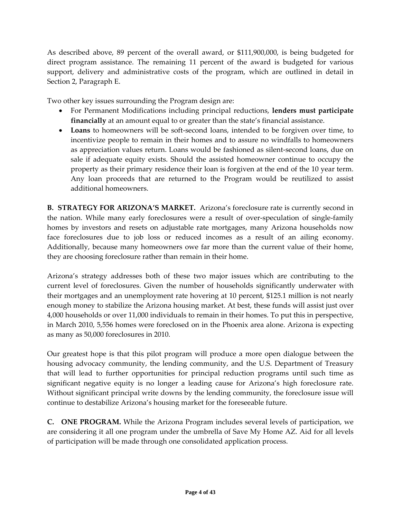As described above, 89 percent of the overall award, or \$111,900,000, is being budgeted for direct program assistance. The remaining 11 percent of the award is budgeted for various support, delivery and administrative costs of the program, which are outlined in detail in Section 2, Paragraph E.

Two other key issues surrounding the Program design are:

- For Permanent Modifications including principal reductions, **lenders must participate financially** at an amount equal to or greater than the state's financial assistance.
- **Loans** to homeowners will be soft‐second loans, intended to be forgiven over time, to incentivize people to remain in their homes and to assure no windfalls to homeowners as appreciation values return. Loans would be fashioned as silent‐second loans, due on sale if adequate equity exists. Should the assisted homeowner continue to occupy the property as their primary residence their loan is forgiven at the end of the 10 year term. Any loan proceeds that are returned to the Program would be reutilized to assist additional homeowners.

**B. STRATEGY FOR ARIZONA'S MARKET.** Arizona's foreclosure rate is currently second in the nation. While many early foreclosures were a result of over-speculation of single-family homes by investors and resets on adjustable rate mortgages, many Arizona households now face foreclosures due to job loss or reduced incomes as a result of an ailing economy. Additionally, because many homeowners owe far more than the current value of their home, they are choosing foreclosure rather than remain in their home.

Arizona's strategy addresses both of these two major issues which are contributing to the current level of foreclosures. Given the number of households significantly underwater with their mortgages and an unemployment rate hovering at 10 percent, \$125.1 million is not nearly enough money to stabilize the Arizona housing market. At best, these funds will assist just over 4,000 households or over 11,000 individuals to remain in their homes. To put this in perspective, in March 2010, 5,556 homes were foreclosed on in the Phoenix area alone. Arizona is expecting as many as 50,000 foreclosures in 2010.

Our greatest hope is that this pilot program will produce a more open dialogue between the housing advocacy community, the lending community, and the U.S. Department of Treasury that will lead to further opportunities for principal reduction programs until such time as significant negative equity is no longer a leading cause for Arizona's high foreclosure rate. Without significant principal write downs by the lending community, the foreclosure issue will continue to destabilize Arizona's housing market for the foreseeable future.

**C. ONE PROGRAM.** While the Arizona Program includes several levels of participation, we are considering it all one program under the umbrella of Save My Home AZ. Aid for all levels of participation will be made through one consolidated application process.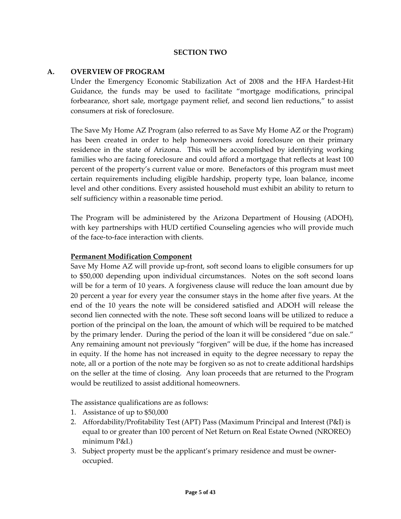### **SECTION TWO**

#### **A. OVERVIEW OF PROGRAM**

Under the Emergency Economic Stabilization Act of 2008 and the HFA Hardest‐Hit Guidance, the funds may be used to facilitate "mortgage modifications, principal forbearance, short sale, mortgage payment relief, and second lien reductions," to assist consumers at risk of foreclosure.

The Save My Home AZ Program (also referred to as Save My Home AZ or the Program) has been created in order to help homeowners avoid foreclosure on their primary residence in the state of Arizona. This will be accomplished by identifying working families who are facing foreclosure and could afford a mortgage that reflects at least 100 percent of the property's current value or more. Benefactors of this program must meet certain requirements including eligible hardship, property type, loan balance, income level and other conditions. Every assisted household must exhibit an ability to return to self sufficiency within a reasonable time period.

The Program will be administered by the Arizona Department of Housing (ADOH), with key partnerships with HUD certified Counseling agencies who will provide much of the face‐to‐face interaction with clients.

#### **Permanent Modification Component**

Save My Home AZ will provide up-front, soft second loans to eligible consumers for up to \$50,000 depending upon individual circumstances. Notes on the soft second loans will be for a term of 10 years. A forgiveness clause will reduce the loan amount due by 20 percent a year for every year the consumer stays in the home after five years. At the end of the 10 years the note will be considered satisfied and ADOH will release the second lien connected with the note. These soft second loans will be utilized to reduce a portion of the principal on the loan, the amount of which will be required to be matched by the primary lender. During the period of the loan it will be considered "due on sale." Any remaining amount not previously "forgiven" will be due, if the home has increased in equity. If the home has not increased in equity to the degree necessary to repay the note, all or a portion of the note may be forgiven so as not to create additional hardships on the seller at the time of closing. Any loan proceeds that are returned to the Program would be reutilized to assist additional homeowners.

The assistance qualifications are as follows:

- 1. Assistance of up to \$50,000
- 2. Affordability/Profitability Test (APT) Pass (Maximum Principal and Interest (P&I) is equal to or greater than 100 percent of Net Return on Real Estate Owned (NROREO) minimum P&I.)
- 3. Subject property must be the applicant's primary residence and must be owner‐ occupied.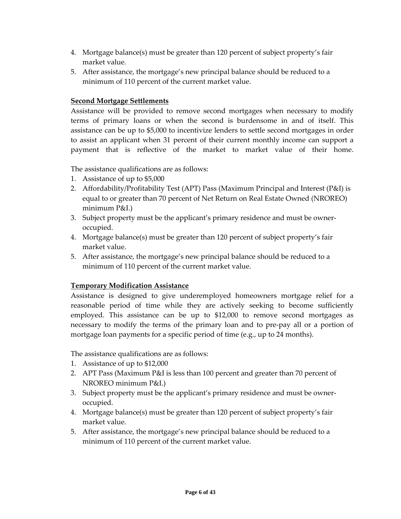- 4. Mortgage balance(s) must be greater than 120 percent of subject property's fair market value.
- 5. After assistance, the mortgage's new principal balance should be reduced to a minimum of 110 percent of the current market value.

### **Second Mortgage Settlements**

Assistance will be provided to remove second mortgages when necessary to modify terms of primary loans or when the second is burdensome in and of itself. This assistance can be up to \$5,000 to incentivize lenders to settle second mortgages in order to assist an applicant when 31 percent of their current monthly income can support a payment that is reflective of the market to market value of their home.

The assistance qualifications are as follows:

- 1. Assistance of up to \$5,000
- 2. Affordability/Profitability Test (APT) Pass (Maximum Principal and Interest (P&I) is equal to or greater than 70 percent of Net Return on Real Estate Owned (NROREO) minimum P&I.)
- 3. Subject property must be the applicant's primary residence and must be owner‐ occupied.
- 4. Mortgage balance(s) must be greater than 120 percent of subject property's fair market value.
- 5. After assistance, the mortgage's new principal balance should be reduced to a minimum of 110 percent of the current market value.

### **Temporary Modification Assistance**

Assistance is designed to give underemployed homeowners mortgage relief for a reasonable period of time while they are actively seeking to become sufficiently employed. This assistance can be up to \$12,000 to remove second mortgages as necessary to modify the terms of the primary loan and to pre‐pay all or a portion of mortgage loan payments for a specific period of time (e.g., up to 24 months).

The assistance qualifications are as follows:

- 1. Assistance of up to \$12,000
- 2. APT Pass (Maximum P&I is less than 100 percent and greater than 70 percent of NROREO minimum P&I.)
- 3. Subject property must be the applicant's primary residence and must be owner‐ occupied.
- 4. Mortgage balance(s) must be greater than 120 percent of subject property's fair market value.
- 5. After assistance, the mortgage's new principal balance should be reduced to a minimum of 110 percent of the current market value.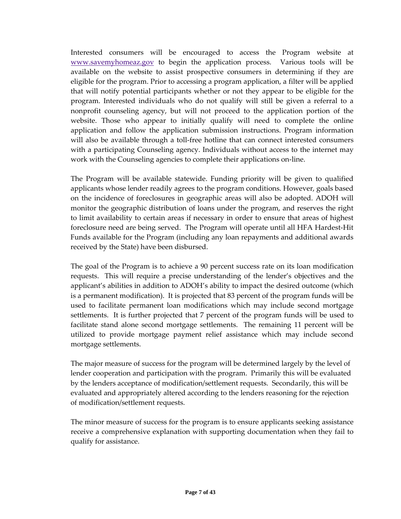Interested consumers will be encouraged to access the Program website at [www.savemyhomeaz.gov](http://www.savemyhomeaz.gov/) to begin the application process. Various tools will be available on the website to assist prospective consumers in determining if they are eligible for the program. Prior to accessing a program application, a filter will be applied that will notify potential participants whether or not they appear to be eligible for the program. Interested individuals who do not qualify will still be given a referral to a nonprofit counseling agency, but will not proceed to the application portion of the website. Those who appear to initially qualify will need to complete the online application and follow the application submission instructions. Program information will also be available through a toll-free hotline that can connect interested consumers with a participating Counseling agency. Individuals without access to the internet may work with the Counseling agencies to complete their applications on‐line.

The Program will be available statewide. Funding priority will be given to qualified applicants whose lender readily agrees to the program conditions. However, goals based on the incidence of foreclosures in geographic areas will also be adopted. ADOH will monitor the geographic distribution of loans under the program, and reserves the right to limit availability to certain areas if necessary in order to ensure that areas of highest foreclosure need are being served. The Program will operate until all HFA Hardest-Hit Funds available for the Program (including any loan repayments and additional awards received by the State) have been disbursed.

The goal of the Program is to achieve a 90 percent success rate on its loan modification requests. This will require a precise understanding of the lender's objectives and the applicant's abilities in addition to ADOH's ability to impact the desired outcome (which is a permanent modification). It is projected that 83 percent of the program funds will be used to facilitate permanent loan modifications which may include second mortgage settlements. It is further projected that 7 percent of the program funds will be used to facilitate stand alone second mortgage settlements. The remaining 11 percent will be utilized to provide mortgage payment relief assistance which may include second mortgage settlements.

The major measure of success for the program will be determined largely by the level of lender cooperation and participation with the program. Primarily this will be evaluated by the lenders acceptance of modification/settlement requests. Secondarily, this will be evaluated and appropriately altered according to the lenders reasoning for the rejection of modification/settlement requests.

The minor measure of success for the program is to ensure applicants seeking assistance receive a comprehensive explanation with supporting documentation when they fail to qualify for assistance.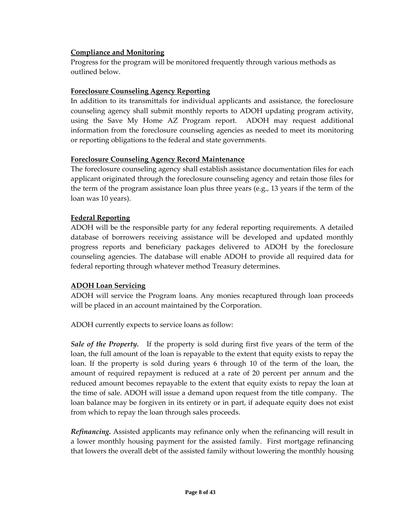# **Compliance and Monitoring**

Progress for the program will be monitored frequently through various methods as outlined below.

### **Foreclosure Counseling Agency Reporting**

In addition to its transmittals for individual applicants and assistance, the foreclosure counseling agency shall submit monthly reports to ADOH updating program activity, using the Save My Home AZ Program report. ADOH may request additional information from the foreclosure counseling agencies as needed to meet its monitoring or reporting obligations to the federal and state governments.

### **Foreclosure Counseling Agency Record Maintenance**

The foreclosure counseling agency shall establish assistance documentation files for each applicant originated through the foreclosure counseling agency and retain those files for the term of the program assistance loan plus three years (e.g., 13 years if the term of the loan was 10 years).

# **Federal Reporting**

ADOH will be the responsible party for any federal reporting requirements. A detailed database of borrowers receiving assistance will be developed and updated monthly progress reports and beneficiary packages delivered to ADOH by the foreclosure counseling agencies. The database will enable ADOH to provide all required data for federal reporting through whatever method Treasury determines.

# **ADOH Loan Servicing**

ADOH will service the Program loans. Any monies recaptured through loan proceeds will be placed in an account maintained by the Corporation.

ADOH currently expects to service loans as follow:

*Sale of the Property.* If the property is sold during first five years of the term of the loan, the full amount of the loan is repayable to the extent that equity exists to repay the loan. If the property is sold during years 6 through 10 of the term of the loan, the amount of required repayment is reduced at a rate of 20 percent per annum and the reduced amount becomes repayable to the extent that equity exists to repay the loan at the time of sale. ADOH will issue a demand upon request from the title company. The loan balance may be forgiven in its entirety or in part, if adequate equity does not exist from which to repay the loan through sales proceeds.

*Refinancing.* Assisted applicants may refinance only when the refinancing will result in a lower monthly housing payment for the assisted family. First mortgage refinancing that lowers the overall debt of the assisted family without lowering the monthly housing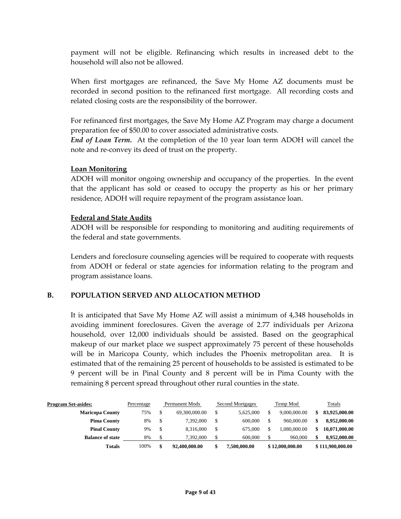payment will not be eligible. Refinancing which results in increased debt to the household will also not be allowed.

When first mortgages are refinanced, the Save My Home AZ documents must be recorded in second position to the refinanced first mortgage. All recording costs and related closing costs are the responsibility of the borrower.

For refinanced first mortgages, the Save My Home AZ Program may charge a document preparation fee of \$50.00 to cover associated administrative costs.

*End of Loan Term.* At the completion of the 10 year loan term ADOH will cancel the note and re‐convey its deed of trust on the property.

#### **Loan Monitoring**

ADOH will monitor ongoing ownership and occupancy of the properties. In the event that the applicant has sold or ceased to occupy the property as his or her primary residence, ADOH will require repayment of the program assistance loan.

#### **Federal and State Audits**

ADOH will be responsible for responding to monitoring and auditing requirements of the federal and state governments.

Lenders and foreclosure counseling agencies will be required to cooperate with requests from ADOH or federal or state agencies for information relating to the program and program assistance loans.

### **B. POPULATION SERVED AND ALLOCATION METHOD**

It is anticipated that Save My Home AZ will assist a minimum of 4,348 households in avoiding imminent foreclosures. Given the average of 2.77 individuals per Arizona household, over 12,000 individuals should be assisted. Based on the geographical makeup of our market place we suspect approximately 75 percent of these households will be in Maricopa County, which includes the Phoenix metropolitan area. It is estimated that of the remaining 25 percent of households to be assisted is estimated to be 9 percent will be in Pinal County and 8 percent will be in Pima County with the remaining 8 percent spread throughout other rural counties in the state.

| <b>Program Set-asides:</b><br><b>Maricopa County</b> | Percentage<br>75% | Permanent Mods<br>69,300,000.00 | <b>Second Mortgages</b><br>5.625,000 | Temp Mod<br>9,000,000.00 | S. | Totals<br>83,925,000.00 |
|------------------------------------------------------|-------------------|---------------------------------|--------------------------------------|--------------------------|----|-------------------------|
| <b>Pima County</b>                                   | 8%                | 7.392.000                       | 600,000                              | 960,000.00               |    | 8,952,000.00            |
| <b>Pinal County</b>                                  | 9%                | 8.316.000                       | 675,000                              | .080.000.00              | \$ | 10,071,000.00           |
| <b>Balance of state</b>                              | 8%                | 7.392.000                       | 600,000                              | 960,000                  |    | 8,952,000.00            |
| Totals                                               | 100%              | 92,400,000.00                   | 7,500,000.00                         | \$12,000,000.00          |    | \$111,900,000.00        |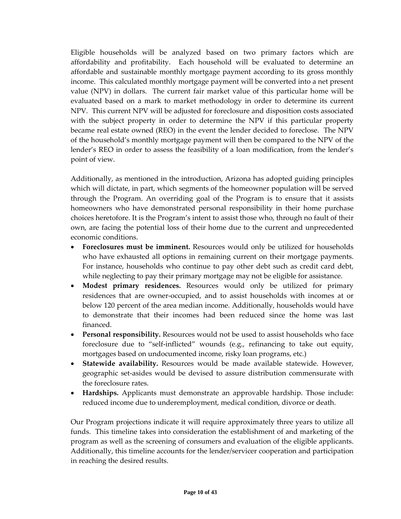Eligible households will be analyzed based on two primary factors which are affordability and profitability. Each household will be evaluated to determine an affordable and sustainable monthly mortgage payment according to its gross monthly income. This calculated monthly mortgage payment will be converted into a net present value (NPV) in dollars. The current fair market value of this particular home will be evaluated based on a mark to market methodology in order to determine its current NPV. This current NPV will be adjusted for foreclosure and disposition costs associated with the subject property in order to determine the NPV if this particular property became real estate owned (REO) in the event the lender decided to foreclose. The NPV of the household's monthly mortgage payment will then be compared to the NPV of the lender's REO in order to assess the feasibility of a loan modification, from the lender's point of view.

Additionally, as mentioned in the introduction, Arizona has adopted guiding principles which will dictate, in part, which segments of the homeowner population will be served through the Program. An overriding goal of the Program is to ensure that it assists homeowners who have demonstrated personal responsibility in their home purchase choices heretofore. It is the Program's intent to assist those who, through no fault of their own, are facing the potential loss of their home due to the current and unprecedented economic conditions.

- **Foreclosures must be imminent.** Resources would only be utilized for households who have exhausted all options in remaining current on their mortgage payments. For instance, households who continue to pay other debt such as credit card debt, while neglecting to pay their primary mortgage may not be eligible for assistance.
- **Modest primary residences.** Resources would only be utilized for primary residences that are owner‐occupied, and to assist households with incomes at or below 120 percent of the area median income. Additionally, households would have to demonstrate that their incomes had been reduced since the home was last financed.
- **Personal responsibility.** Resources would not be used to assist households who face foreclosure due to "self‐inflicted" wounds (e.g., refinancing to take out equity, mortgages based on undocumented income, risky loan programs, etc.)
- **Statewide availability.** Resources would be made available statewide. However, geographic set‐asides would be devised to assure distribution commensurate with the foreclosure rates.
- **Hardships.** Applicants must demonstrate an approvable hardship. Those include: reduced income due to underemployment, medical condition, divorce or death.

Our Program projections indicate it will require approximately three years to utilize all funds. This timeline takes into consideration the establishment of and marketing of the program as well as the screening of consumers and evaluation of the eligible applicants. Additionally, this timeline accounts for the lender/servicer cooperation and participation in reaching the desired results.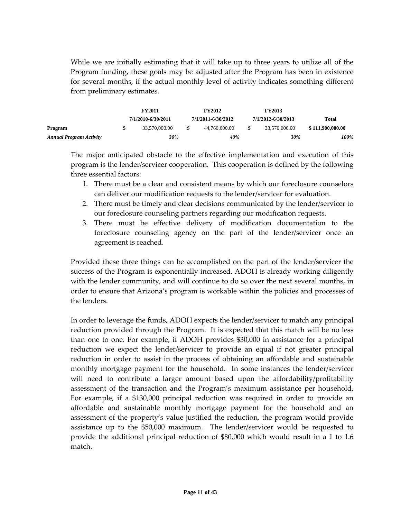While we are initially estimating that it will take up to three years to utilize all of the Program funding, these goals may be adjusted after the Program has been in existence for several months, if the actual monthly level of activity indicates something different from preliminary estimates.

|                         | <b>FY2011</b>      |    | <b>FY2012</b>      | <b>FY2013</b>      |                  |
|-------------------------|--------------------|----|--------------------|--------------------|------------------|
|                         | 7/1/2010-6/30/2011 |    | 7/1/2011-6/30/2012 | 7/1/2012-6/30/2013 | Total            |
| Program                 | 33.570.000.00      | \$ | 44,760,000.00      | 33,570,000.00      | \$111,900,000.00 |
| Annual Program Activity | 30%                |    | 40%                | 30%                | 100%             |

The major anticipated obstacle to the effective implementation and execution of this program is the lender/servicer cooperation. This cooperation is defined by the following three essential factors:

- 1. There must be a clear and consistent means by which our foreclosure counselors can deliver our modification requests to the lender/servicer for evaluation.
- 2. There must be timely and clear decisions communicated by the lender/servicer to our foreclosure counseling partners regarding our modification requests.
- 3. There must be effective delivery of modification documentation to the foreclosure counseling agency on the part of the lender/servicer once an agreement is reached.

Provided these three things can be accomplished on the part of the lender/servicer the success of the Program is exponentially increased. ADOH is already working diligently with the lender community, and will continue to do so over the next several months, in order to ensure that Arizona's program is workable within the policies and processes of the lenders.

In order to leverage the funds, ADOH expects the lender/servicer to match any principal reduction provided through the Program. It is expected that this match will be no less than one to one. For example, if ADOH provides \$30,000 in assistance for a principal reduction we expect the lender/servicer to provide an equal if not greater principal reduction in order to assist in the process of obtaining an affordable and sustainable monthly mortgage payment for the household. In some instances the lender/servicer will need to contribute a larger amount based upon the affordability/profitability assessment of the transaction and the Program's maximum assistance per household. For example, if a \$130,000 principal reduction was required in order to provide an affordable and sustainable monthly mortgage payment for the household and an assessment of the property's value justified the reduction, the program would provide assistance up to the \$50,000 maximum. The lender/servicer would be requested to provide the additional principal reduction of \$80,000 which would result in a 1 to 1.6 match.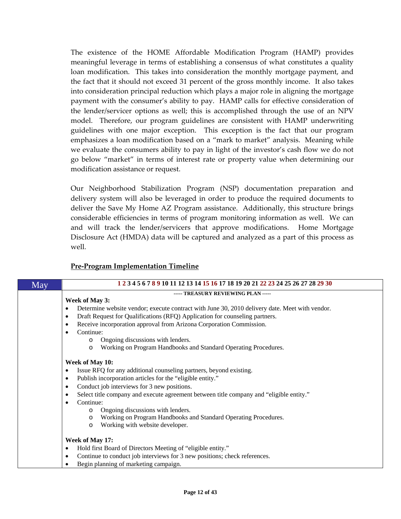The existence of the HOME Affordable Modification Program (HAMP) provides meaningful leverage in terms of establishing a consensus of what constitutes a quality loan modification. This takes into consideration the monthly mortgage payment, and the fact that it should not exceed 31 percent of the gross monthly income. It also takes into consideration principal reduction which plays a major role in aligning the mortgage payment with the consumer's ability to pay. HAMP calls for effective consideration of the lender/servicer options as well; this is accomplished through the use of an NPV model. Therefore, our program guidelines are consistent with HAMP underwriting guidelines with one major exception. This exception is the fact that our program emphasizes a loan modification based on a "mark to market" analysis. Meaning while we evaluate the consumers ability to pay in light of the investor's cash flow we do not go below "market" in terms of interest rate or property value when determining our modification assistance or request.

Our Neighborhood Stabilization Program (NSP) documentation preparation and delivery system will also be leveraged in order to produce the required documents to deliver the Save My Home AZ Program assistance. Additionally, this structure brings considerable efficiencies in terms of program monitoring information as well. We can and will track the lender/servicers that approve modifications. Home Mortgage Disclosure Act (HMDA) data will be captured and analyzed as a part of this process as well.

### **Pre‐Program Implementation Timeline**

| May | 1 2 3 4 5 6 7 8 9 10 11 12 13 14 15 16 17 18 19 20 21 22 23 24 25 26 27 28 29 30                    |  |  |  |  |  |  |  |  |
|-----|-----------------------------------------------------------------------------------------------------|--|--|--|--|--|--|--|--|
|     | ----- TREASURY REVIEWING PLAN -----                                                                 |  |  |  |  |  |  |  |  |
|     | Week of May 3:                                                                                      |  |  |  |  |  |  |  |  |
|     | Determine website vendor; execute contract with June 30, 2010 delivery date. Meet with vendor.<br>٠ |  |  |  |  |  |  |  |  |
|     | Draft Request for Qualifications (RFQ) Application for counseling partners.<br>٠                    |  |  |  |  |  |  |  |  |
|     | Receive incorporation approval from Arizona Corporation Commission.<br>٠                            |  |  |  |  |  |  |  |  |
|     | Continue:<br>$\bullet$                                                                              |  |  |  |  |  |  |  |  |
|     | Ongoing discussions with lenders.<br>$\circ$                                                        |  |  |  |  |  |  |  |  |
|     | Working on Program Handbooks and Standard Operating Procedures.<br>$\circ$                          |  |  |  |  |  |  |  |  |
|     |                                                                                                     |  |  |  |  |  |  |  |  |
|     | Week of May 10:                                                                                     |  |  |  |  |  |  |  |  |
|     | Issue RFQ for any additional counseling partners, beyond existing.<br>٠                             |  |  |  |  |  |  |  |  |
|     | Publish incorporation articles for the "eligible entity."<br>٠                                      |  |  |  |  |  |  |  |  |
|     | Conduct job interviews for 3 new positions.<br>٠                                                    |  |  |  |  |  |  |  |  |
|     | Select title company and execute agreement between title company and "eligible entity."<br>٠        |  |  |  |  |  |  |  |  |
|     | Continue:<br>$\bullet$                                                                              |  |  |  |  |  |  |  |  |
|     | Ongoing discussions with lenders.<br>$\circ$                                                        |  |  |  |  |  |  |  |  |
|     | Working on Program Handbooks and Standard Operating Procedures.<br>O                                |  |  |  |  |  |  |  |  |
|     | Working with website developer.<br>$\circ$                                                          |  |  |  |  |  |  |  |  |
|     | Week of May 17:                                                                                     |  |  |  |  |  |  |  |  |
|     | Hold first Board of Directors Meeting of "eligible entity."<br>٠                                    |  |  |  |  |  |  |  |  |
|     | Continue to conduct job interviews for 3 new positions; check references.<br>٠                      |  |  |  |  |  |  |  |  |
|     |                                                                                                     |  |  |  |  |  |  |  |  |
|     | Begin planning of marketing campaign.<br>٠                                                          |  |  |  |  |  |  |  |  |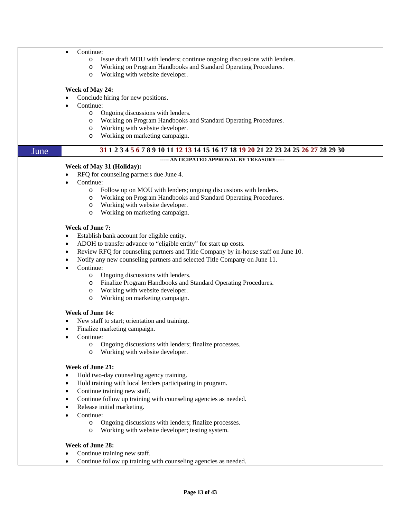|      | Continue:<br>٠                                                                                  |  |  |  |  |  |  |  |  |
|------|-------------------------------------------------------------------------------------------------|--|--|--|--|--|--|--|--|
|      | Issue draft MOU with lenders; continue ongoing discussions with lenders.<br>$\circ$             |  |  |  |  |  |  |  |  |
|      | Working on Program Handbooks and Standard Operating Procedures.<br>$\circ$                      |  |  |  |  |  |  |  |  |
|      | Working with website developer.<br>$\circ$                                                      |  |  |  |  |  |  |  |  |
|      |                                                                                                 |  |  |  |  |  |  |  |  |
|      |                                                                                                 |  |  |  |  |  |  |  |  |
|      | Week of May 24:                                                                                 |  |  |  |  |  |  |  |  |
|      | Conclude hiring for new positions.<br>٠                                                         |  |  |  |  |  |  |  |  |
|      | Continue:<br>$\bullet$                                                                          |  |  |  |  |  |  |  |  |
|      | Ongoing discussions with lenders.<br>$\circ$                                                    |  |  |  |  |  |  |  |  |
|      | Working on Program Handbooks and Standard Operating Procedures.                                 |  |  |  |  |  |  |  |  |
|      | O                                                                                               |  |  |  |  |  |  |  |  |
|      | Working with website developer.<br>$\circ$                                                      |  |  |  |  |  |  |  |  |
|      | Working on marketing campaign.<br>O                                                             |  |  |  |  |  |  |  |  |
|      |                                                                                                 |  |  |  |  |  |  |  |  |
| June | 31 1 2 3 4 5 6 7 8 9 10 11 12 13 14 15 16 17 18 19 20 21 22 23 24 25 26 27 28 29 30             |  |  |  |  |  |  |  |  |
|      | ----- ANTICIPATED APPROVAL BY TREASURY-----                                                     |  |  |  |  |  |  |  |  |
|      | Week of May 31 (Holiday):                                                                       |  |  |  |  |  |  |  |  |
|      | RFQ for counseling partners due June 4.<br>٠                                                    |  |  |  |  |  |  |  |  |
|      | Continue:                                                                                       |  |  |  |  |  |  |  |  |
|      |                                                                                                 |  |  |  |  |  |  |  |  |
|      | Follow up on MOU with lenders; ongoing discussions with lenders.<br>$\circ$                     |  |  |  |  |  |  |  |  |
|      | Working on Program Handbooks and Standard Operating Procedures.<br>O                            |  |  |  |  |  |  |  |  |
|      | Working with website developer.<br>O                                                            |  |  |  |  |  |  |  |  |
|      | Working on marketing campaign.<br>$\circ$                                                       |  |  |  |  |  |  |  |  |
|      |                                                                                                 |  |  |  |  |  |  |  |  |
|      | <b>Week of June 7:</b>                                                                          |  |  |  |  |  |  |  |  |
|      | Establish bank account for eligible entity.<br>٠                                                |  |  |  |  |  |  |  |  |
|      |                                                                                                 |  |  |  |  |  |  |  |  |
|      | ADOH to transfer advance to "eligible entity" for start up costs.<br>٠                          |  |  |  |  |  |  |  |  |
|      | Review RFQ for counseling partners and Title Company by in-house staff on June 10.<br>$\bullet$ |  |  |  |  |  |  |  |  |
|      | Notify any new counseling partners and selected Title Company on June 11.<br>٠                  |  |  |  |  |  |  |  |  |
|      | Continue:<br>$\bullet$                                                                          |  |  |  |  |  |  |  |  |
|      | Ongoing discussions with lenders.<br>$\circ$                                                    |  |  |  |  |  |  |  |  |
|      |                                                                                                 |  |  |  |  |  |  |  |  |
|      | Finalize Program Handbooks and Standard Operating Procedures.<br>$\circ$                        |  |  |  |  |  |  |  |  |
|      | Working with website developer.<br>$\circ$                                                      |  |  |  |  |  |  |  |  |
|      | Working on marketing campaign.<br>$\circ$                                                       |  |  |  |  |  |  |  |  |
|      |                                                                                                 |  |  |  |  |  |  |  |  |
|      | Week of June 14:                                                                                |  |  |  |  |  |  |  |  |
|      | New staff to start; orientation and training.<br>٠                                              |  |  |  |  |  |  |  |  |
|      | Finalize marketing campaign.                                                                    |  |  |  |  |  |  |  |  |
|      | Continue:                                                                                       |  |  |  |  |  |  |  |  |
|      | Ongoing discussions with lenders; finalize processes.<br>$\circ$                                |  |  |  |  |  |  |  |  |
|      | Working with website developer.<br>$\circ$                                                      |  |  |  |  |  |  |  |  |
|      |                                                                                                 |  |  |  |  |  |  |  |  |
|      | Week of June 21:                                                                                |  |  |  |  |  |  |  |  |
|      | Hold two-day counseling agency training.<br>$\bullet$                                           |  |  |  |  |  |  |  |  |
|      |                                                                                                 |  |  |  |  |  |  |  |  |
|      | Hold training with local lenders participating in program.<br>٠                                 |  |  |  |  |  |  |  |  |
|      | Continue training new staff.<br>٠                                                               |  |  |  |  |  |  |  |  |
|      | Continue follow up training with counseling agencies as needed.<br>٠                            |  |  |  |  |  |  |  |  |
|      | Release initial marketing.<br>٠                                                                 |  |  |  |  |  |  |  |  |
|      | Continue:                                                                                       |  |  |  |  |  |  |  |  |
|      |                                                                                                 |  |  |  |  |  |  |  |  |
|      | Ongoing discussions with lenders; finalize processes.<br>$\circ$                                |  |  |  |  |  |  |  |  |
|      | Working with website developer; testing system.<br>O                                            |  |  |  |  |  |  |  |  |
|      |                                                                                                 |  |  |  |  |  |  |  |  |
|      | Week of June 28:                                                                                |  |  |  |  |  |  |  |  |
|      | Continue training new staff.                                                                    |  |  |  |  |  |  |  |  |
|      | Continue follow up training with counseling agencies as needed.                                 |  |  |  |  |  |  |  |  |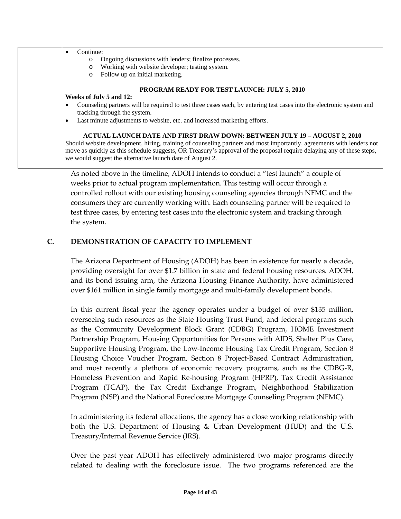| Continue:<br>$\bullet$<br>Ongoing discussions with lenders; finalize processes.<br>$\circ$                                                           |  |  |  |  |  |  |  |  |  |
|------------------------------------------------------------------------------------------------------------------------------------------------------|--|--|--|--|--|--|--|--|--|
| Working with website developer; testing system.<br>$\circ$                                                                                           |  |  |  |  |  |  |  |  |  |
| Follow up on initial marketing.<br>$\circ$                                                                                                           |  |  |  |  |  |  |  |  |  |
| <b>PROGRAM READY FOR TEST LAUNCH: JULY 5, 2010</b>                                                                                                   |  |  |  |  |  |  |  |  |  |
| Weeks of July 5 and 12:                                                                                                                              |  |  |  |  |  |  |  |  |  |
| Counseling partners will be required to test three cases each, by entering test cases into the electronic system and<br>tracking through the system. |  |  |  |  |  |  |  |  |  |
| Last minute adjustments to website, etc. and increased marketing efforts.<br>$\bullet$                                                               |  |  |  |  |  |  |  |  |  |
| <b>ACTUAL LAUNCH DATE AND FIRST DRAW DOWN: BETWEEN JULY 19 - AUGUST 2, 2010</b>                                                                      |  |  |  |  |  |  |  |  |  |
| Should website development, hiring, training of counseling partners and most importantly, agreements with lenders not                                |  |  |  |  |  |  |  |  |  |
| move as quickly as this schedule suggests, OR Treasury's approval of the proposal require delaying any of these steps,                               |  |  |  |  |  |  |  |  |  |
| we would suggest the alternative launch date of August 2.                                                                                            |  |  |  |  |  |  |  |  |  |

As noted above in the timeline, ADOH intends to conduct a "test launch" a couple of weeks prior to actual program implementation. This testing will occur through a controlled rollout with our existing housing counseling agencies through NFMC and the consumers they are currently working with. Each counseling partner will be required to test three cases, by entering test cases into the electronic system and tracking through the system.

# **C. DEMONSTRATION OF CAPACITY TO IMPLEMENT**

The Arizona Department of Housing (ADOH) has been in existence for nearly a decade, providing oversight for over \$1.7 billion in state and federal housing resources. ADOH, and its bond issuing arm, the Arizona Housing Finance Authority, have administered over \$161 million in single family mortgage and multi‐family development bonds.

In this current fiscal year the agency operates under a budget of over \$135 million, overseeing such resources as the State Housing Trust Fund, and federal programs such as the Community Development Block Grant (CDBG) Program, HOME Investment Partnership Program, Housing Opportunities for Persons with AIDS, Shelter Plus Care, Supportive Housing Program, the Low‐Income Housing Tax Credit Program, Section 8 Housing Choice Voucher Program, Section 8 Project-Based Contract Administration, and most recently a plethora of economic recovery programs, such as the CDBG‐R, Homeless Prevention and Rapid Re‐housing Program (HPRP), Tax Credit Assistance Program (TCAP), the Tax Credit Exchange Program, Neighborhood Stabilization Program (NSP) and the National Foreclosure Mortgage Counseling Program (NFMC).

In administering its federal allocations, the agency has a close working relationship with both the U.S. Department of Housing & Urban Development (HUD) and the U.S. Treasury/Internal Revenue Service (IRS).

Over the past year ADOH has effectively administered two major programs directly related to dealing with the foreclosure issue. The two programs referenced are the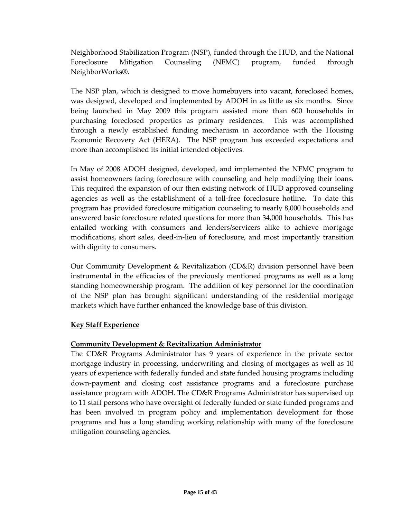Neighborhood Stabilization Program (NSP), funded through the HUD, and the National Foreclosure Mitigation Counseling (NFMC) program, funded through NeighborWorks®.

The NSP plan, which is designed to move homebuyers into vacant, foreclosed homes, was designed, developed and implemented by ADOH in as little as six months. Since being launched in May 2009 this program assisted more than 600 households in purchasing foreclosed properties as primary residences. This was accomplished through a newly established funding mechanism in accordance with the Housing Economic Recovery Act (HERA). The NSP program has exceeded expectations and more than accomplished its initial intended objectives.

In May of 2008 ADOH designed, developed, and implemented the NFMC program to assist homeowners facing foreclosure with counseling and help modifying their loans. This required the expansion of our then existing network of HUD approved counseling agencies as well as the establishment of a toll-free foreclosure hotline. To date this program has provided foreclosure mitigation counseling to nearly 8,000 households and answered basic foreclosure related questions for more than 34,000 households. This has entailed working with consumers and lenders/servicers alike to achieve mortgage modifications, short sales, deed‐in‐lieu of foreclosure, and most importantly transition with dignity to consumers.

Our Community Development & Revitalization (CD&R) division personnel have been instrumental in the efficacies of the previously mentioned programs as well as a long standing homeownership program. The addition of key personnel for the coordination of the NSP plan has brought significant understanding of the residential mortgage markets which have further enhanced the knowledge base of this division.

# **Key Staff Experience**

### **Community Development & Revitalization Administrator**

The CD&R Programs Administrator has 9 years of experience in the private sector mortgage industry in processing, underwriting and closing of mortgages as well as 10 years of experience with federally funded and state funded housing programs including down‐payment and closing cost assistance programs and a foreclosure purchase assistance program with ADOH. The CD&R Programs Administrator has supervised up to 11 staff persons who have oversight of federally funded or state funded programs and has been involved in program policy and implementation development for those programs and has a long standing working relationship with many of the foreclosure mitigation counseling agencies.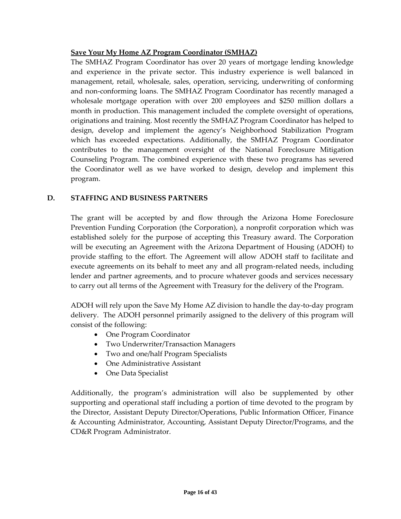# **Save Your My Home AZ Program Coordinator (SMHAZ)**

The SMHAZ Program Coordinator has over 20 years of mortgage lending knowledge and experience in the private sector. This industry experience is well balanced in management, retail, wholesale, sales, operation, servicing, underwriting of conforming and non‐conforming loans. The SMHAZ Program Coordinator has recently managed a wholesale mortgage operation with over 200 employees and \$250 million dollars a month in production. This management included the complete oversight of operations, originations and training. Most recently the SMHAZ Program Coordinator has helped to design, develop and implement the agency's Neighborhood Stabilization Program which has exceeded expectations. Additionally, the SMHAZ Program Coordinator contributes to the management oversight of the National Foreclosure Mitigation Counseling Program. The combined experience with these two programs has severed the Coordinator well as we have worked to design, develop and implement this program.

# **D. STAFFING AND BUSINESS PARTNERS**

The grant will be accepted by and flow through the Arizona Home Foreclosure Prevention Funding Corporation (the Corporation), a nonprofit corporation which was established solely for the purpose of accepting this Treasury award. The Corporation will be executing an Agreement with the Arizona Department of Housing (ADOH) to provide staffing to the effort. The Agreement will allow ADOH staff to facilitate and execute agreements on its behalf to meet any and all program‐related needs, including lender and partner agreements, and to procure whatever goods and services necessary to carry out all terms of the Agreement with Treasury for the delivery of the Program.

ADOH will rely upon the Save My Home AZ division to handle the day‐to‐day program delivery. The ADOH personnel primarily assigned to the delivery of this program will consist of the following:

- One Program Coordinator
- Two Underwriter/Transaction Managers
- Two and one/half Program Specialists
- One Administrative Assistant
- One Data Specialist

Additionally, the program's administration will also be supplemented by other supporting and operational staff including a portion of time devoted to the program by the Director, Assistant Deputy Director/Operations, Public Information Officer, Finance & Accounting Administrator, Accounting, Assistant Deputy Director/Programs, and the CD&R Program Administrator.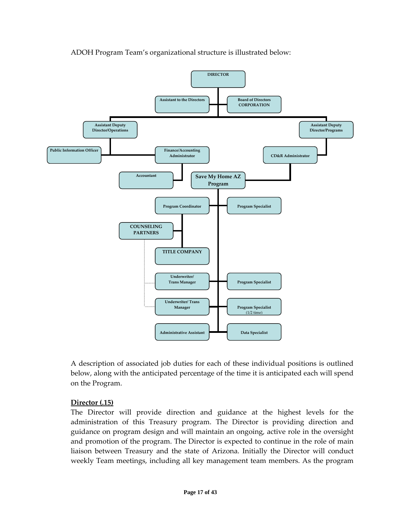

ADOH Program Team's organizational structure is illustrated below:

A description of associated job duties for each of these individual positions is outlined below, along with the anticipated percentage of the time it is anticipated each will spend on the Program.

### **Director (.15)**

The Director will provide direction and guidance at the highest levels for the administration of this Treasury program. The Director is providing direction and guidance on program design and will maintain an ongoing, active role in the oversight and promotion of the program. The Director is expected to continue in the role of main liaison between Treasury and the state of Arizona. Initially the Director will conduct weekly Team meetings, including all key management team members. As the program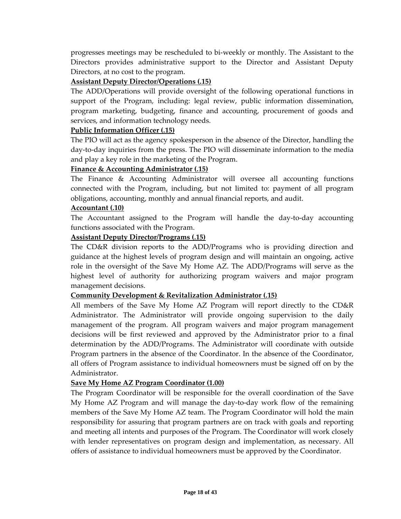progresses meetings may be rescheduled to bi‐weekly or monthly. The Assistant to the Directors provides administrative support to the Director and Assistant Deputy Directors, at no cost to the program.

### **Assistant Deputy Director/Operations (.15)**

The ADD/Operations will provide oversight of the following operational functions in support of the Program, including: legal review, public information dissemination, program marketing, budgeting, finance and accounting, procurement of goods and services, and information technology needs.

### **Public Information Officer (.15)**

The PIO will act as the agency spokesperson in the absence of the Director, handling the day‐to‐day inquiries from the press. The PIO will disseminate information to the media and play a key role in the marketing of the Program.

### **Finance & Accounting Administrator (.15)**

The Finance & Accounting Administrator will oversee all accounting functions connected with the Program, including, but not limited to: payment of all program obligations, accounting, monthly and annual financial reports, and audit.

#### **Accountant (.10)**

The Accountant assigned to the Program will handle the day‐to‐day accounting functions associated with the Program.

#### **Assistant Deputy Director/Programs (.15)**

The CD&R division reports to the ADD/Programs who is providing direction and guidance at the highest levels of program design and will maintain an ongoing, active role in the oversight of the Save My Home AZ. The ADD/Programs will serve as the highest level of authority for authorizing program waivers and major program management decisions.

### **Community Development & Revitalization Administrator (.15)**

All members of the Save My Home AZ Program will report directly to the CD&R Administrator. The Administrator will provide ongoing supervision to the daily management of the program. All program waivers and major program management decisions will be first reviewed and approved by the Administrator prior to a final determination by the ADD/Programs. The Administrator will coordinate with outside Program partners in the absence of the Coordinator. In the absence of the Coordinator, all offers of Program assistance to individual homeowners must be signed off on by the Administrator.

#### **Save My Home AZ Program Coordinator (1.00)**

The Program Coordinator will be responsible for the overall coordination of the Save My Home AZ Program and will manage the day‐to‐day work flow of the remaining members of the Save My Home AZ team. The Program Coordinator will hold the main responsibility for assuring that program partners are on track with goals and reporting and meeting all intents and purposes of the Program. The Coordinator will work closely with lender representatives on program design and implementation, as necessary. All offers of assistance to individual homeowners must be approved by the Coordinator.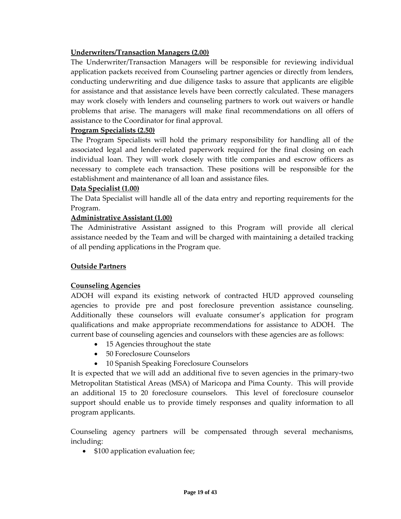# **Underwriters/Transaction Managers (2.00)**

The Underwriter/Transaction Managers will be responsible for reviewing individual application packets received from Counseling partner agencies or directly from lenders, conducting underwriting and due diligence tasks to assure that applicants are eligible for assistance and that assistance levels have been correctly calculated. These managers may work closely with lenders and counseling partners to work out waivers or handle problems that arise. The managers will make final recommendations on all offers of assistance to the Coordinator for final approval.

### **Program Specialists (2.50)**

The Program Specialists will hold the primary responsibility for handling all of the associated legal and lender‐related paperwork required for the final closing on each individual loan. They will work closely with title companies and escrow officers as necessary to complete each transaction. These positions will be responsible for the establishment and maintenance of all loan and assistance files.

#### **Data Specialist (1.00)**

The Data Specialist will handle all of the data entry and reporting requirements for the Program.

### **Administrative Assistant (1.00)**

The Administrative Assistant assigned to this Program will provide all clerical assistance needed by the Team and will be charged with maintaining a detailed tracking of all pending applications in the Program que.

### **Outside Partners**

### **Counseling Agencies**

ADOH will expand its existing network of contracted HUD approved counseling agencies to provide pre and post foreclosure prevention assistance counseling. Additionally these counselors will evaluate consumer's application for program qualifications and make appropriate recommendations for assistance to ADOH. The current base of counseling agencies and counselors with these agencies are as follows:

- 15 Agencies throughout the state
- 50 Foreclosure Counselors
- 10 Spanish Speaking Foreclosure Counselors

It is expected that we will add an additional five to seven agencies in the primary‐two Metropolitan Statistical Areas (MSA) of Maricopa and Pima County. This will provide an additional 15 to 20 foreclosure counselors. This level of foreclosure counselor support should enable us to provide timely responses and quality information to all program applicants.

Counseling agency partners will be compensated through several mechanisms, including:

• \$100 application evaluation fee;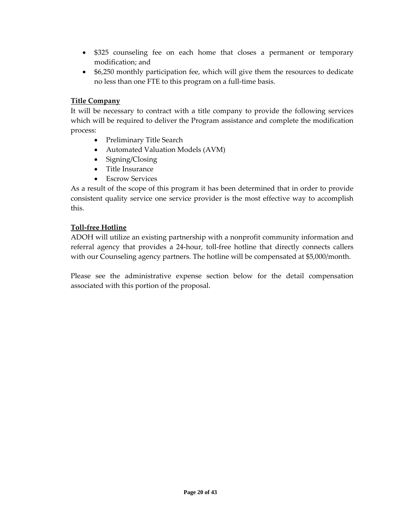- \$325 counseling fee on each home that closes a permanent or temporary modification; and
- \$6,250 monthly participation fee, which will give them the resources to dedicate no less than one FTE to this program on a full‐time basis.

### **Title Company**

It will be necessary to contract with a title company to provide the following services which will be required to deliver the Program assistance and complete the modification process:

- Preliminary Title Search
- Automated Valuation Models (AVM)
- Signing/Closing
- Title Insurance
- Escrow Services

As a result of the scope of this program it has been determined that in order to provide consistent quality service one service provider is the most effective way to accomplish this.

### **Toll‐free Hotline**

ADOH will utilize an existing partnership with a nonprofit community information and referral agency that provides a 24‐hour, toll‐free hotline that directly connects callers with our Counseling agency partners. The hotline will be compensated at \$5,000/month.

Please see the administrative expense section below for the detail compensation associated with this portion of the proposal.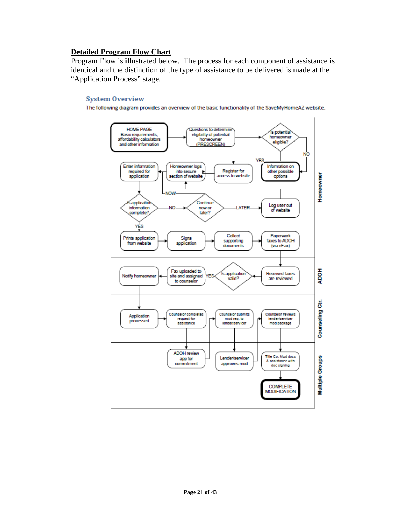### **Detailed Program Flow Chart**

Program Flow is illustrated below. The process for each component of assistance is identical and the distinction of the type of assistance to be delivered is made at the "Application Process" stage.

#### **System Overview**

The following diagram provides an overview of the basic functionality of the SaveMyHomeAZ website.

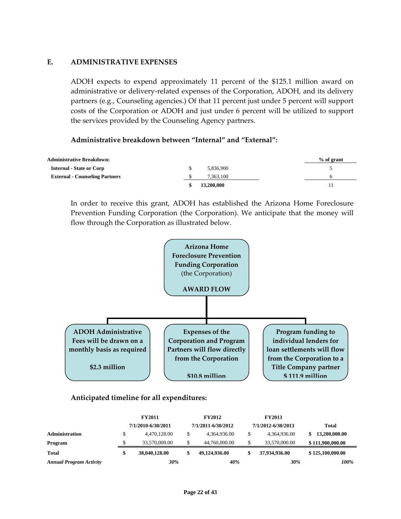### **E. ADMINISTRATIVE EXPENSES**

ADOH expects to expend approximately 11 percent of the \$125.1 million award on administrative or delivery‐related expenses of the Corporation, ADOH, and its delivery partners (e.g., Counseling agencies.) Of that 11 percent just under 5 percent will support costs of the Corporation or ADOH and just under 6 percent will be utilized to support the services provided by the Counseling Agency partners.

#### **Administrative breakdown between "Internal" and "External":**

| <b>Administrative Breakdown:</b>      |            | $%$ of grant |
|---------------------------------------|------------|--------------|
| <b>Internal - State or Corp</b>       | 5.836.900  |              |
| <b>External - Counseling Partners</b> | 7.363.100  |              |
|                                       | 13,200,000 |              |

In order to receive this grant, ADOH has established the Arizona Home Foreclosure Prevention Funding Corporation (the Corporation). We anticipate that the money will flow through the Corporation as illustrated below.



#### **Anticipated timeline for all expenditures:**

|                                | <b>FY2011</b> |                    | <b>FY2012</b>       | <b>FY2013</b>      |                  |
|--------------------------------|---------------|--------------------|---------------------|--------------------|------------------|
|                                |               | 7/1/2010-6/30/2011 | 7/1/2011-6/30/2012  | 7/1/2012-6/30/2013 | Total            |
| <b>Administration</b>          |               | 4.470.128.00       | \$<br>4.364.936.00  | 4.364.936.00       | 13,200,000.00    |
| Program                        |               | 33,570,000.00      | \$<br>44,760,000.00 | 33,570,000.00      | \$111,900,000.00 |
| <b>Total</b>                   | \$            | 38,040,128.00      | \$<br>49,124,936.00 | 37,934,936.00      | \$125,100,000.00 |
| <b>Annual Program Activity</b> |               | 30%                | 40%                 | 30%                | 100%             |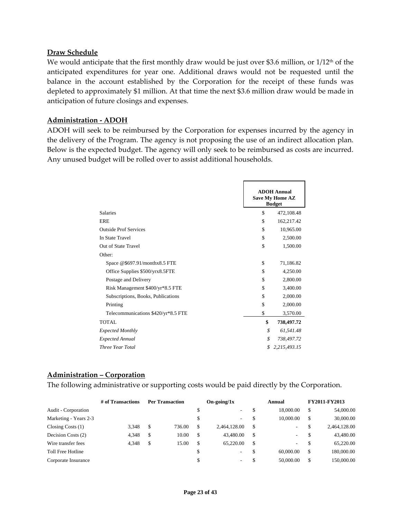#### **Draw Schedule**

We would anticipate that the first monthly draw would be just over \$3.6 million, or  $1/12<sup>th</sup>$  of the anticipated expenditures for year one. Additional draws would not be requested until the balance in the account established by the Corporation for the receipt of these funds was depleted to approximately \$1 million. At that time the next \$3.6 million draw would be made in anticipation of future closings and expenses.

### **Administration ‐ ADOH**

ADOH will seek to be reimbursed by the Corporation for expenses incurred by the agency in the delivery of the Program. The agency is not proposing the use of an indirect allocation plan. Below is the expected budget. The agency will only seek to be reimbursed as costs are incurred. Any unused budget will be rolled over to assist additional households.

|                                     | <b>ADOH Annual</b><br><b>Save My Home AZ</b><br><b>Budget</b> |
|-------------------------------------|---------------------------------------------------------------|
| <b>Salaries</b>                     | \$<br>472,108.48                                              |
| ERE                                 | \$<br>162,217.42                                              |
| <b>Outside Prof Services</b>        | \$<br>10,965.00                                               |
| In State Travel                     | \$<br>2,500.00                                                |
| Out of State Travel                 | \$<br>1,500.00                                                |
| Other:                              |                                                               |
| Space @\$697.91/monthx8.5 FTE       | \$<br>71,186.82                                               |
| Office Supplies \$500/yrx8.5FTE     | \$<br>4,250.00                                                |
| Postage and Delivery                | \$<br>2,800.00                                                |
| Risk Management \$400/yr*8.5 FTE    | \$<br>3,400.00                                                |
| Subscriptions, Books, Publications  | \$<br>2,000.00                                                |
| Printing                            | \$<br>2,000.00                                                |
| Telecommunications \$420/yr*8.5 FTE | \$<br>3,570.00                                                |
| <b>TOTAL</b>                        | \$<br>738,497.72                                              |
| <b>Expected Monthly</b>             | \$<br>61,541.48                                               |
| <b>Expected Annual</b>              | \$<br>738,497.72                                              |
| Three Year Total                    | \$<br>2,215,493.15                                            |

### **Administration – Corporation**

The following administrative or supporting costs would be paid directly by the Corporation.

|                       | # of Transactions | <b>Per Transaction</b> |        |               | $On\text{-}\text{going}/1x$ |               | Annual    | <b>FY2011-FY2013</b> |              |
|-----------------------|-------------------|------------------------|--------|---------------|-----------------------------|---------------|-----------|----------------------|--------------|
| Audit - Corporation   |                   |                        |        | \$            | $\sim$                      | \$            | 18,000.00 | S                    | 54,000.00    |
| Marketing - Years 2-3 |                   |                        |        | \$            | $\sim$                      | \$            | 10,000.00 | S                    | 30,000.00    |
| Closing Costs $(1)$   | 3.348             | \$                     | 736.00 | S             | 2,464,128.00                | -S            | ۰         | S                    | 2,464,128.00 |
| Decision Costs (2)    | 4.348             | \$                     | 10.00  | <sup>\$</sup> | 43,480.00                   | \$            | ۰         |                      | 43,480.00    |
| Wire transfer fees    | 4.348             | \$                     | 15.00  | <sup>\$</sup> | 65,220,00                   | \$            | ۰         | S                    | 65,220.00    |
| Toll Free Hotline     |                   |                        |        | \$            | $\overline{\phantom{a}}$    | <sup>\$</sup> | 60,000.00 | \$                   | 180,000.00   |
| Corporate Insurance   |                   |                        |        | \$            | $\sim$                      |               | 50,000.00 | \$                   | 150,000.00   |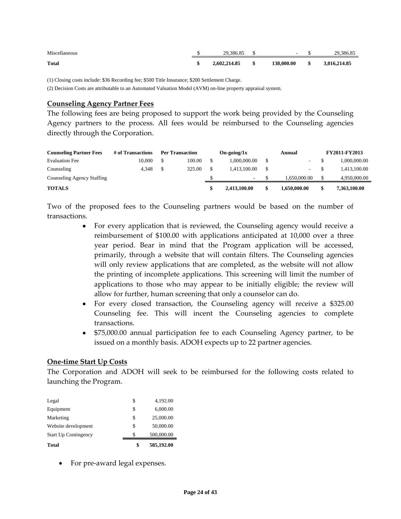| Miscellaneous | 29.386.85    |      | and the contract of the contract of |          | 29,386.85    |
|---------------|--------------|------|-------------------------------------|----------|--------------|
| <b>Total</b>  | 2,602,214.85 | - \$ | 138,000.00                          | $\sim$ S | 3,016,214.85 |

(1) Closing costs include: \$36 Recording fee; \$500 Title Insurance; \$200 Settlement Charge.

(2) Decision Costs are attributable to an Automated Valuation Model (AVM) on-line property appraisal system.

#### **Counseling Agency Partner Fees**

The following fees are being proposed to support the work being provided by the Counseling Agency partners to the process. All fees would be reimbursed to the Counseling agencies directly through the Corporation.

| <b>Counseling Partner Fees</b> | # of Transactions | <b>Per Transaction</b> | $On\text{-}\mathrm{going}/1x$ | Annual |              | <b>FY2011-FY2013</b> |  |
|--------------------------------|-------------------|------------------------|-------------------------------|--------|--------------|----------------------|--|
| <b>Evaluation Fee</b>          | 10.000            | 100.00                 | 1.000.000.00                  |        |              | 1,000,000.00         |  |
| Counseling                     | 4.348             | 325.00                 | 1.413.100.00                  |        | $\sim$       | 1,413,100.00         |  |
| Counseling Agency Staffing     |                   |                        | $\sim$                        |        | 1.650.000.00 | 4,950,000.00         |  |
| <b>TOTALS</b>                  |                   |                        | 2,413,100.00                  | S      | 1,650,000,00 | 7,363,100.00         |  |

Two of the proposed fees to the Counseling partners would be based on the number of transactions.

- For every application that is reviewed, the Counseling agency would receive a reimbursement of \$100.00 with applications anticipated at 10,000 over a three year period. Bear in mind that the Program application will be accessed, primarily, through a website that will contain filters. The Counseling agencies will only review applications that are completed, as the website will not allow the printing of incomplete applications. This screening will limit the number of applications to those who may appear to be initially eligible; the review will allow for further, human screening that only a counselor can do.
- For every closed transaction, the Counseling agency will receive a \$325.00 Counseling fee. This will incent the Counseling agencies to complete transactions.
- \$75,000.00 annual participation fee to each Counseling Agency partner, to be issued on a monthly basis. ADOH expects up to 22 partner agencies.

#### **One‐time Start Up Costs**

The Corporation and ADOH will seek to be reimbursed for the following costs related to launching the Program.

| 585,192.00 | \$ | <b>Total</b>                |
|------------|----|-----------------------------|
| 500,000.00 | S  | <b>Start Up Contingency</b> |
| 50,000.00  | \$ | Website development         |
| 25,000.00  | \$ | Marketing                   |
| 6,000.00   | \$ | Equipment                   |
| 4,192.00   | \$ | Legal                       |
|            |    |                             |

• For pre-award legal expenses.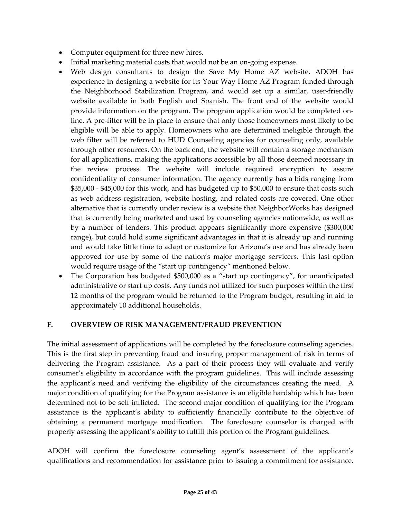- Computer equipment for three new hires.
- Initial marketing material costs that would not be an on-going expense.
- Web design consultants to design the Save My Home AZ website. ADOH has experience in designing a website for its Your Way Home AZ Program funded through the Neighborhood Stabilization Program, and would set up a similar, user‐friendly website available in both English and Spanish. The front end of the website would provide information on the program. The program application would be completed on‐ line. A pre‐filter will be in place to ensure that only those homeowners most likely to be eligible will be able to apply. Homeowners who are determined ineligible through the web filter will be referred to HUD Counseling agencies for counseling only, available through other resources. On the back end, the website will contain a storage mechanism for all applications, making the applications accessible by all those deemed necessary in the review process. The website will include required encryption to assure confidentiality of consumer information. The agency currently has a bids ranging from \$35,000 ‐ \$45,000 for this work, and has budgeted up to \$50,000 to ensure that costs such as web address registration, website hosting, and related costs are covered. One other alternative that is currently under review is a website that NeighborWorks has designed that is currently being marketed and used by counseling agencies nationwide, as well as by a number of lenders. This product appears significantly more expensive (\$300,000 range), but could hold some significant advantages in that it is already up and running and would take little time to adapt or customize for Arizona's use and has already been approved for use by some of the nation's major mortgage servicers. This last option would require usage of the "start up contingency" mentioned below.
- The Corporation has budgeted \$500,000 as a "start up contingency", for unanticipated administrative or start up costs. Any funds not utilized for such purposes within the first 12 months of the program would be returned to the Program budget, resulting in aid to approximately 10 additional households.

# **F. OVERVIEW OF RISK MANAGEMENT/FRAUD PREVENTION**

The initial assessment of applications will be completed by the foreclosure counseling agencies. This is the first step in preventing fraud and insuring proper management of risk in terms of delivering the Program assistance. As a part of their process they will evaluate and verify consumer's eligibility in accordance with the program guidelines. This will include assessing the applicant's need and verifying the eligibility of the circumstances creating the need. A major condition of qualifying for the Program assistance is an eligible hardship which has been determined not to be self inflicted. The second major condition of qualifying for the Program assistance is the applicant's ability to sufficiently financially contribute to the objective of obtaining a permanent mortgage modification. The foreclosure counselor is charged with properly assessing the applicant's ability to fulfill this portion of the Program guidelines.

ADOH will confirm the foreclosure counseling agent's assessment of the applicant's qualifications and recommendation for assistance prior to issuing a commitment for assistance.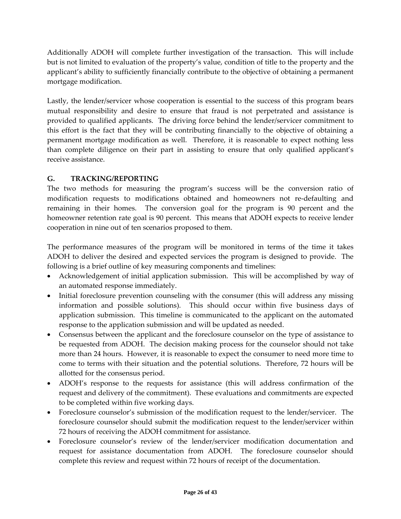Additionally ADOH will complete further investigation of the transaction. This will include but is not limited to evaluation of the property's value, condition of title to the property and the applicant's ability to sufficiently financially contribute to the objective of obtaining a permanent mortgage modification.

Lastly, the lender/servicer whose cooperation is essential to the success of this program bears mutual responsibility and desire to ensure that fraud is not perpetrated and assistance is provided to qualified applicants. The driving force behind the lender/servicer commitment to this effort is the fact that they will be contributing financially to the objective of obtaining a permanent mortgage modification as well. Therefore, it is reasonable to expect nothing less than complete diligence on their part in assisting to ensure that only qualified applicant's receive assistance.

# **G. TRACKING/REPORTING**

The two methods for measuring the program's success will be the conversion ratio of modification requests to modifications obtained and homeowners not re‐defaulting and remaining in their homes. The conversion goal for the program is 90 percent and the homeowner retention rate goal is 90 percent. This means that ADOH expects to receive lender cooperation in nine out of ten scenarios proposed to them.

The performance measures of the program will be monitored in terms of the time it takes ADOH to deliver the desired and expected services the program is designed to provide. The following is a brief outline of key measuring components and timelines:

- Acknowledgement of initial application submission. This will be accomplished by way of an automated response immediately.
- Initial foreclosure prevention counseling with the consumer (this will address any missing information and possible solutions). This should occur within five business days of application submission. This timeline is communicated to the applicant on the automated response to the application submission and will be updated as needed.
- Consensus between the applicant and the foreclosure counselor on the type of assistance to be requested from ADOH. The decision making process for the counselor should not take more than 24 hours. However, it is reasonable to expect the consumer to need more time to come to terms with their situation and the potential solutions. Therefore, 72 hours will be allotted for the consensus period.
- ADOH's response to the requests for assistance (this will address confirmation of the request and delivery of the commitment). These evaluations and commitments are expected to be completed within five working days.
- Foreclosure counselor's submission of the modification request to the lender/servicer. The foreclosure counselor should submit the modification request to the lender/servicer within 72 hours of receiving the ADOH commitment for assistance.
- Foreclosure counselor's review of the lender/servicer modification documentation and request for assistance documentation from ADOH. The foreclosure counselor should complete this review and request within 72 hours of receipt of the documentation.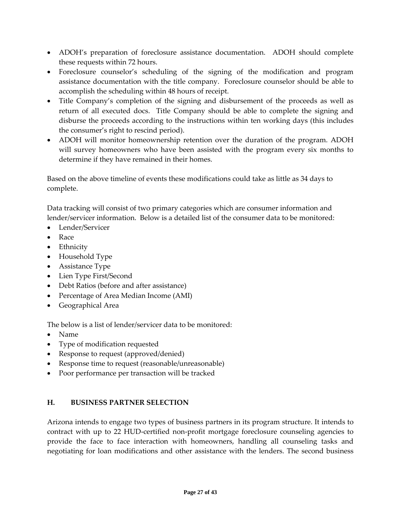- ADOH's preparation of foreclosure assistance documentation. ADOH should complete these requests within 72 hours.
- Foreclosure counselor's scheduling of the signing of the modification and program assistance documentation with the title company. Foreclosure counselor should be able to accomplish the scheduling within 48 hours of receipt.
- Title Company's completion of the signing and disbursement of the proceeds as well as return of all executed docs. Title Company should be able to complete the signing and disburse the proceeds according to the instructions within ten working days (this includes the consumer's right to rescind period).
- ADOH will monitor homeownership retention over the duration of the program. ADOH will survey homeowners who have been assisted with the program every six months to determine if they have remained in their homes.

Based on the above timeline of events these modifications could take as little as 34 days to complete.

Data tracking will consist of two primary categories which are consumer information and lender/servicer information. Below is a detailed list of the consumer data to be monitored:

- Lender/Servicer
- Race
- Ethnicity
- Household Type
- Assistance Type
- Lien Type First/Second
- Debt Ratios (before and after assistance)
- Percentage of Area Median Income (AMI)
- Geographical Area

The below is a list of lender/servicer data to be monitored:

- Name
- Type of modification requested
- Response to request (approved/denied)
- Response time to request (reasonable/unreasonable)
- Poor performance per transaction will be tracked

# **H. BUSINESS PARTNER SELECTION**

Arizona intends to engage two types of business partners in its program structure. It intends to contract with up to 22 HUD‐certified non‐profit mortgage foreclosure counseling agencies to provide the face to face interaction with homeowners, handling all counseling tasks and negotiating for loan modifications and other assistance with the lenders. The second business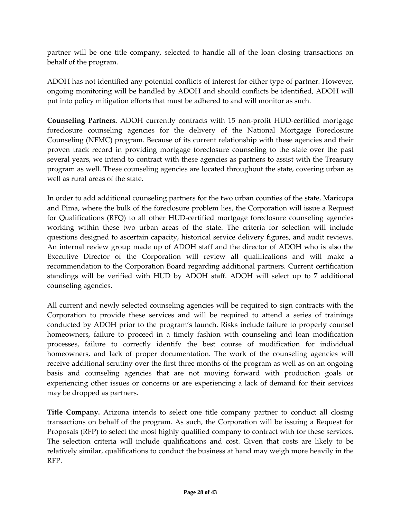partner will be one title company, selected to handle all of the loan closing transactions on behalf of the program.

ADOH has not identified any potential conflicts of interest for either type of partner. However, ongoing monitoring will be handled by ADOH and should conflicts be identified, ADOH will put into policy mitigation efforts that must be adhered to and will monitor as such.

**Counseling Partners.** ADOH currently contracts with 15 non‐profit HUD‐certified mortgage foreclosure counseling agencies for the delivery of the National Mortgage Foreclosure Counseling (NFMC) program. Because of its current relationship with these agencies and their proven track record in providing mortgage foreclosure counseling to the state over the past several years, we intend to contract with these agencies as partners to assist with the Treasury program as well. These counseling agencies are located throughout the state, covering urban as well as rural areas of the state.

In order to add additional counseling partners for the two urban counties of the state, Maricopa and Pima, where the bulk of the foreclosure problem lies, the Corporation will issue a Request for Qualifications (RFQ) to all other HUD-certified mortgage foreclosure counseling agencies working within these two urban areas of the state. The criteria for selection will include questions designed to ascertain capacity, historical service delivery figures, and audit reviews. An internal review group made up of ADOH staff and the director of ADOH who is also the Executive Director of the Corporation will review all qualifications and will make a recommendation to the Corporation Board regarding additional partners. Current certification standings will be verified with HUD by ADOH staff. ADOH will select up to 7 additional counseling agencies.

All current and newly selected counseling agencies will be required to sign contracts with the Corporation to provide these services and will be required to attend a series of trainings conducted by ADOH prior to the program's launch. Risks include failure to properly counsel homeowners, failure to proceed in a timely fashion with counseling and loan modification processes, failure to correctly identify the best course of modification for individual homeowners, and lack of proper documentation. The work of the counseling agencies will receive additional scrutiny over the first three months of the program as well as on an ongoing basis and counseling agencies that are not moving forward with production goals or experiencing other issues or concerns or are experiencing a lack of demand for their services may be dropped as partners.

**Title Company.** Arizona intends to select one title company partner to conduct all closing transactions on behalf of the program. As such, the Corporation will be issuing a Request for Proposals (RFP) to select the most highly qualified company to contract with for these services. The selection criteria will include qualifications and cost. Given that costs are likely to be relatively similar, qualifications to conduct the business at hand may weigh more heavily in the RFP.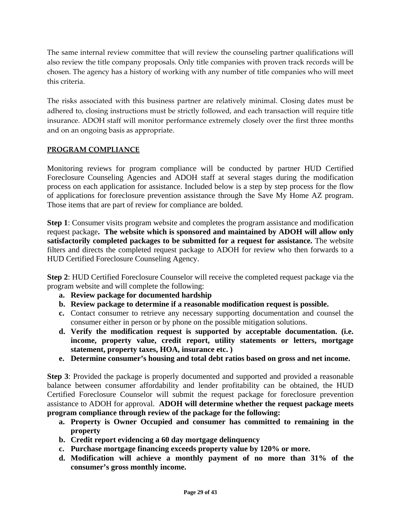The same internal review committee that will review the counseling partner qualifications will also review the title company proposals. Only title companies with proven track records will be chosen. The agency has a history of working with any number of title companies who will meet this criteria.

The risks associated with this business partner are relatively minimal. Closing dates must be adhered to, closing instructions must be strictly followed, and each transaction will require title insurance. ADOH staff will monitor performance extremely closely over the first three months and on an ongoing basis as appropriate.

# **PROGRAM COMPLIANCE**

Monitoring reviews for program compliance will be conducted by partner HUD Certified Foreclosure Counseling Agencies and ADOH staff at several stages during the modification process on each application for assistance. Included below is a step by step process for the flow of applications for foreclosure prevention assistance through the Save My Home AZ program. Those items that are part of review for compliance are bolded.

**Step 1**: Consumer visits program website and completes the program assistance and modification request package**. The website which is sponsored and maintained by ADOH will allow only satisfactorily completed packages to be submitted for a request for assistance.** The website filters and directs the completed request package to ADOH for review who then forwards to a HUD Certified Foreclosure Counseling Agency.

**Step 2**: HUD Certified Foreclosure Counselor will receive the completed request package via the program website and will complete the following:

- **a. Review package for documented hardship**
- **b. Review package to determine if a reasonable modification request is possible.**
- **c.** Contact consumer to retrieve any necessary supporting documentation and counsel the consumer either in person or by phone on the possible mitigation solutions.
- **d. Verify the modification request is supported by acceptable documentation. (i.e. income, property value, credit report, utility statements or letters, mortgage statement, property taxes, HOA, insurance etc. )**
- **e. Determine consumer's housing and total debt ratios based on gross and net income.**

**Step 3**: Provided the package is properly documented and supported and provided a reasonable balance between consumer affordability and lender profitability can be obtained, the HUD Certified Foreclosure Counselor will submit the request package for foreclosure prevention assistance to ADOH for approval. **ADOH will determine whether the request package meets program compliance through review of the package for the following:** 

- **a. Property is Owner Occupied and consumer has committed to remaining in the property**
- **b. Credit report evidencing a 60 day mortgage delinquency**
- **c. Purchase mortgage financing exceeds property value by 120% or more.**
- **d. Modification will achieve a monthly payment of no more than 31% of the consumer's gross monthly income.**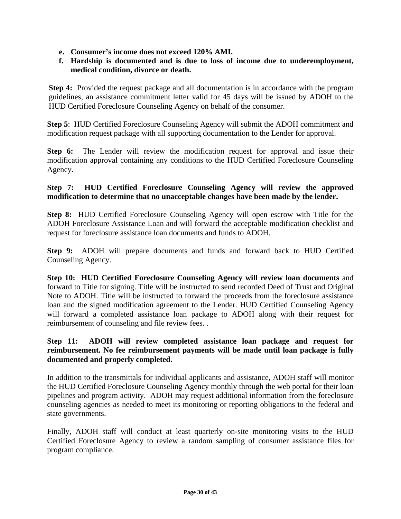- **e. Consumer's income does not exceed 120% AMI.**
- **f. Hardship is documented and is due to loss of income due to underemployment, medical condition, divorce or death.**

**Step 4:** Provided the request package and all documentation is in accordance with the program guidelines, an assistance commitment letter valid for 45 days will be issued by ADOH to the HUD Certified Foreclosure Counseling Agency on behalf of the consumer.

**Step 5**: HUD Certified Foreclosure Counseling Agency will submit the ADOH commitment and modification request package with all supporting documentation to the Lender for approval.

**Step 6:** The Lender will review the modification request for approval and issue their modification approval containing any conditions to the HUD Certified Foreclosure Counseling Agency.

### **Step 7: HUD Certified Foreclosure Counseling Agency will review the approved modification to determine that no unacceptable changes have been made by the lender.**

**Step 8:** HUD Certified Foreclosure Counseling Agency will open escrow with Title for the ADOH Foreclosure Assistance Loan and will forward the acceptable modification checklist and request for foreclosure assistance loan documents and funds to ADOH.

**Step 9:** ADOH will prepare documents and funds and forward back to HUD Certified Counseling Agency.

**Step 10: HUD Certified Foreclosure Counseling Agency will review loan documents** and forward to Title for signing. Title will be instructed to send recorded Deed of Trust and Original Note to ADOH. Title will be instructed to forward the proceeds from the foreclosure assistance loan and the signed modification agreement to the Lender. HUD Certified Counseling Agency will forward a completed assistance loan package to ADOH along with their request for reimbursement of counseling and file review fees. .

### **Step 11: ADOH will review completed assistance loan package and request for reimbursement. No fee reimbursement payments will be made until loan package is fully documented and properly completed.**

In addition to the transmittals for individual applicants and assistance, ADOH staff will monitor the HUD Certified Foreclosure Counseling Agency monthly through the web portal for their loan pipelines and program activity. ADOH may request additional information from the foreclosure counseling agencies as needed to meet its monitoring or reporting obligations to the federal and state governments.

Finally, ADOH staff will conduct at least quarterly on-site monitoring visits to the HUD Certified Foreclosure Agency to review a random sampling of consumer assistance files for program compliance.